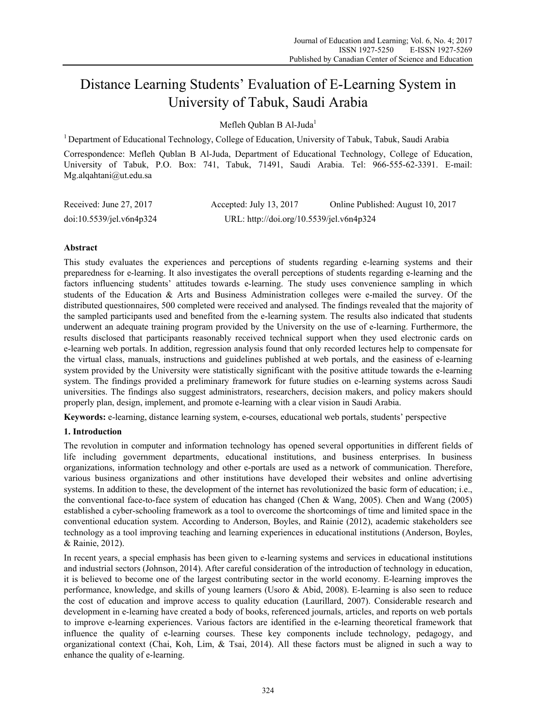# Distance Learning Students' Evaluation of E-Learning System in University of Tabuk, Saudi Arabia

Mefleh Qublan B Al-Juda<sup>1</sup>

1 Department of Educational Technology, College of Education, University of Tabuk, Tabuk, Saudi Arabia

Correspondence: Mefleh Qublan B Al-Juda, Department of Educational Technology, College of Education, University of Tabuk, P.O. Box: 741, Tabuk, 71491, Saudi Arabia. Tel: 966-555-62-3391. E-mail: Mg.alqahtani@ut.edu.sa

| Received: June 27, 2017     | Accepted: July 13, 2017                  | Online Published: August 10, 2017 |
|-----------------------------|------------------------------------------|-----------------------------------|
| $doi:10.5539/je$ l.v6n4p324 | URL: http://doi.org/10.5539/jel.v6n4p324 |                                   |

## **Abstract**

This study evaluates the experiences and perceptions of students regarding e-learning systems and their preparedness for e-learning. It also investigates the overall perceptions of students regarding e-learning and the factors influencing students' attitudes towards e-learning. The study uses convenience sampling in which students of the Education & Arts and Business Administration colleges were e-mailed the survey. Of the distributed questionnaires, 500 completed were received and analysed. The findings revealed that the majority of the sampled participants used and benefited from the e-learning system. The results also indicated that students underwent an adequate training program provided by the University on the use of e-learning. Furthermore, the results disclosed that participants reasonably received technical support when they used electronic cards on e-learning web portals. In addition, regression analysis found that only recorded lectures help to compensate for the virtual class, manuals, instructions and guidelines published at web portals, and the easiness of e-learning system provided by the University were statistically significant with the positive attitude towards the e-learning system. The findings provided a preliminary framework for future studies on e-learning systems across Saudi universities. The findings also suggest administrators, researchers, decision makers, and policy makers should properly plan, design, implement, and promote e-learning with a clear vision in Saudi Arabia.

**Keywords:** e-learning, distance learning system, e-courses, educational web portals, students' perspective

## **1. Introduction**

The revolution in computer and information technology has opened several opportunities in different fields of life including government departments, educational institutions, and business enterprises. In business organizations, information technology and other e-portals are used as a network of communication. Therefore, various business organizations and other institutions have developed their websites and online advertising systems. In addition to these, the development of the internet has revolutionized the basic form of education; i.e., the conventional face-to-face system of education has changed (Chen & Wang, 2005). Chen and Wang (2005) established a cyber-schooling framework as a tool to overcome the shortcomings of time and limited space in the conventional education system. According to Anderson, Boyles, and Rainie (2012), academic stakeholders see technology as a tool improving teaching and learning experiences in educational institutions (Anderson, Boyles, & Rainie, 2012).

In recent years, a special emphasis has been given to e-learning systems and services in educational institutions and industrial sectors (Johnson, 2014). After careful consideration of the introduction of technology in education, it is believed to become one of the largest contributing sector in the world economy. E-learning improves the performance, knowledge, and skills of young learners (Usoro & Abid, 2008). E-learning is also seen to reduce the cost of education and improve access to quality education (Laurillard, 2007). Considerable research and development in e-learning have created a body of books, referenced journals, articles, and reports on web portals to improve e-learning experiences. Various factors are identified in the e-learning theoretical framework that influence the quality of e-learning courses. These key components include technology, pedagogy, and organizational context (Chai, Koh, Lim, & Tsai, 2014). All these factors must be aligned in such a way to enhance the quality of e-learning.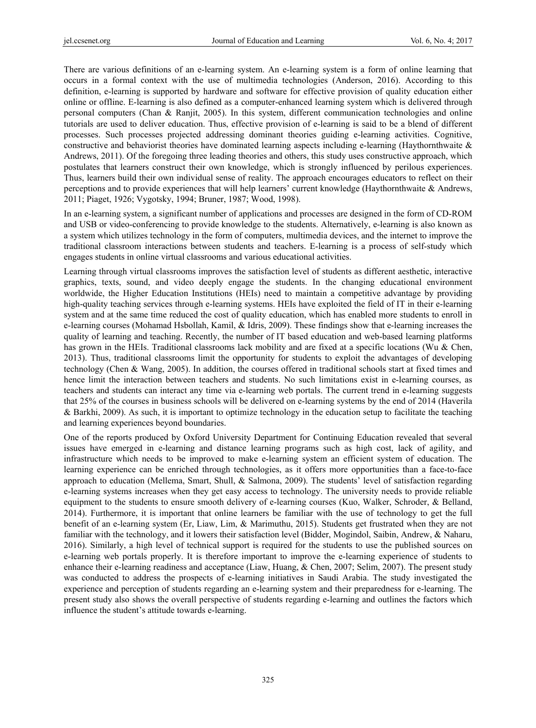There are various definitions of an e-learning system. An e-learning system is a form of online learning that occurs in a formal context with the use of multimedia technologies (Anderson, 2016). According to this definition, e-learning is supported by hardware and software for effective provision of quality education either online or offline. E-learning is also defined as a computer-enhanced learning system which is delivered through personal computers (Chan & Ranjit, 2005). In this system, different communication technologies and online tutorials are used to deliver education. Thus, effective provision of e-learning is said to be a blend of different processes. Such processes projected addressing dominant theories guiding e-learning activities. Cognitive, constructive and behaviorist theories have dominated learning aspects including e-learning (Haythornthwaite & Andrews, 2011). Of the foregoing three leading theories and others, this study uses constructive approach, which postulates that learners construct their own knowledge, which is strongly influenced by perilous experiences. Thus, learners build their own individual sense of reality. The approach encourages educators to reflect on their perceptions and to provide experiences that will help learners' current knowledge (Haythornthwaite & Andrews, 2011; Piaget, 1926; Vygotsky, 1994; Bruner, 1987; Wood, 1998).

In an e-learning system, a significant number of applications and processes are designed in the form of CD-ROM and USB or video-conferencing to provide knowledge to the students. Alternatively, e-learning is also known as a system which utilizes technology in the form of computers, multimedia devices, and the internet to improve the traditional classroom interactions between students and teachers. E-learning is a process of self-study which engages students in online virtual classrooms and various educational activities.

Learning through virtual classrooms improves the satisfaction level of students as different aesthetic, interactive graphics, texts, sound, and video deeply engage the students. In the changing educational environment worldwide, the Higher Education Institutions (HEIs) need to maintain a competitive advantage by providing high-quality teaching services through e-learning systems. HEIs have exploited the field of IT in their e-learning system and at the same time reduced the cost of quality education, which has enabled more students to enroll in e-learning courses (Mohamad Hsbollah, Kamil, & Idris, 2009). These findings show that e-learning increases the quality of learning and teaching. Recently, the number of IT based education and web-based learning platforms has grown in the HEIs. Traditional classrooms lack mobility and are fixed at a specific locations (Wu & Chen, 2013). Thus, traditional classrooms limit the opportunity for students to exploit the advantages of developing technology (Chen & Wang, 2005). In addition, the courses offered in traditional schools start at fixed times and hence limit the interaction between teachers and students. No such limitations exist in e-learning courses, as teachers and students can interact any time via e-learning web portals. The current trend in e-learning suggests that 25% of the courses in business schools will be delivered on e-learning systems by the end of 2014 (Haverila & Barkhi, 2009). As such, it is important to optimize technology in the education setup to facilitate the teaching and learning experiences beyond boundaries.

One of the reports produced by Oxford University Department for Continuing Education revealed that several issues have emerged in e-learning and distance learning programs such as high cost, lack of agility, and infrastructure which needs to be improved to make e-learning system an efficient system of education. The learning experience can be enriched through technologies, as it offers more opportunities than a face-to-face approach to education (Mellema, Smart, Shull, & Salmona, 2009). The students' level of satisfaction regarding e-learning systems increases when they get easy access to technology. The university needs to provide reliable equipment to the students to ensure smooth delivery of e-learning courses (Kuo, Walker, Schroder, & Belland, 2014). Furthermore, it is important that online learners be familiar with the use of technology to get the full benefit of an e-learning system (Er, Liaw, Lim, & Marimuthu, 2015). Students get frustrated when they are not familiar with the technology, and it lowers their satisfaction level (Bidder, Mogindol, Saibin, Andrew, & Naharu, 2016). Similarly, a high level of technical support is required for the students to use the published sources on e-learning web portals properly. It is therefore important to improve the e-learning experience of students to enhance their e-learning readiness and acceptance (Liaw, Huang, & Chen, 2007; Selim, 2007). The present study was conducted to address the prospects of e-learning initiatives in Saudi Arabia. The study investigated the experience and perception of students regarding an e-learning system and their preparedness for e-learning. The present study also shows the overall perspective of students regarding e-learning and outlines the factors which influence the student's attitude towards e-learning.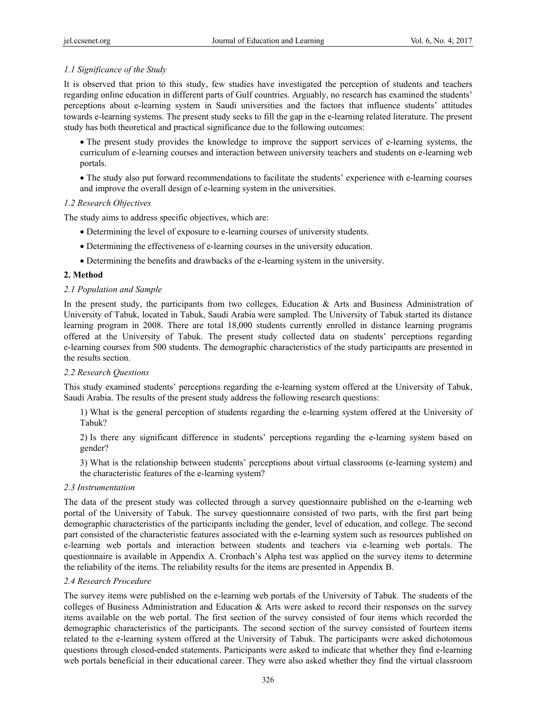## *1.1 Significance of the Study*

It is observed that prion to this study, few studies have investigated the perception of students and teachers regarding online education in different parts of Gulf countries. Arguably, no research has examined the students' perceptions about e-learning system in Saudi universities and the factors that influence students' attitudes towards e-learning systems. The present study seeks to fill the gap in the e-learning related literature. The present study has both theoretical and practical significance due to the following outcomes:

 The present study provides the knowledge to improve the support services of e-learning systems, the curriculum of e-learning courses and interaction between university teachers and students on e-learning web portals.

 The study also put forward recommendations to facilitate the students' experience with e-learning courses and improve the overall design of e-learning system in the universities.

#### *1.2 Research Objectives*

The study aims to address specific objectives, which are:

- Determining the level of exposure to e-learning courses of university students.
- Determining the effectiveness of e-learning courses in the university education.
- Determining the benefits and drawbacks of the e-learning system in the university.

#### **2. Method**

#### *2.1 Population and Sample*

In the present study, the participants from two colleges, Education  $\&$  Arts and Business Administration of University of Tabuk, located in Tabuk, Saudi Arabia were sampled. The University of Tabuk started its distance learning program in 2008. There are total 18,000 students currently enrolled in distance learning programs offered at the University of Tabuk. The present study collected data on students' perceptions regarding e-learning courses from 500 students. The demographic characteristics of the study participants are presented in the results section.

## *2.2 Research Questions*

This study examined students' perceptions regarding the e-learning system offered at the University of Tabuk, Saudi Arabia. The results of the present study address the following research questions:

1) What is the general perception of students regarding the e-learning system offered at the University of Tabuk?

2) Is there any significant difference in students' perceptions regarding the e-learning system based on gender?

3) What is the relationship between students' perceptions about virtual classrooms (e-learning system) and the characteristic features of the e-learning system?

#### *2.3 Instrumentation*

The data of the present study was collected through a survey questionnaire published on the e-learning web portal of the University of Tabuk. The survey questionnaire consisted of two parts, with the first part being demographic characteristics of the participants including the gender, level of education, and college. The second part consisted of the characteristic features associated with the e-learning system such as resources published on e-learning web portals and interaction between students and teachers via e-learning web portals. The questionnaire is available in Appendix A. Cronbach's Alpha test was applied on the survey items to determine the reliability of the items. The reliability results for the items are presented in Appendix B.

#### *2.4 Research Procedure*

The survey items were published on the e-learning web portals of the University of Tabuk. The students of the colleges of Business Administration and Education & Arts were asked to record their responses on the survey items available on the web portal. The first section of the survey consisted of four items which recorded the demographic characteristics of the participants. The second section of the survey consisted of fourteen items related to the e-learning system offered at the University of Tabuk. The participants were asked dichotomous questions through closed-ended statements. Participants were asked to indicate that whether they find e-learning web portals beneficial in their educational career. They were also asked whether they find the virtual classroom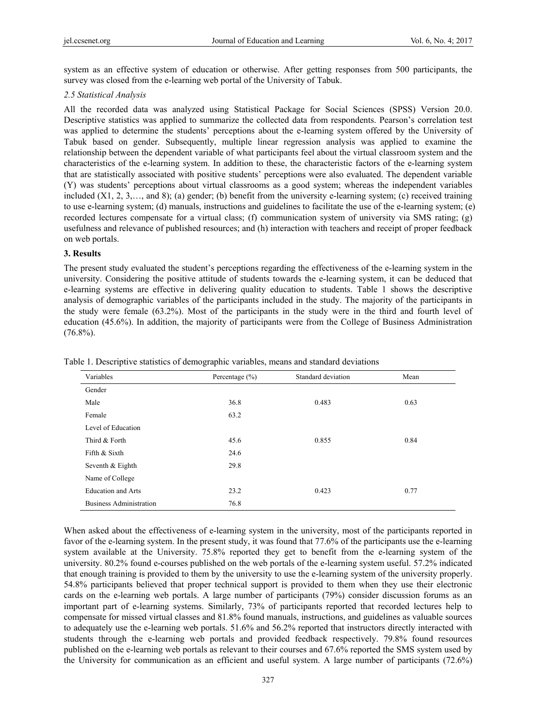system as an effective system of education or otherwise. After getting responses from 500 participants, the survey was closed from the e-learning web portal of the University of Tabuk.

#### *2.5 Statistical Analysis*

All the recorded data was analyzed using Statistical Package for Social Sciences (SPSS) Version 20.0. Descriptive statistics was applied to summarize the collected data from respondents. Pearson's correlation test was applied to determine the students' perceptions about the e-learning system offered by the University of Tabuk based on gender. Subsequently, multiple linear regression analysis was applied to examine the relationship between the dependent variable of what participants feel about the virtual classroom system and the characteristics of the e-learning system. In addition to these, the characteristic factors of the e-learning system that are statistically associated with positive students' perceptions were also evaluated. The dependent variable (Y) was students' perceptions about virtual classrooms as a good system; whereas the independent variables included  $(X1, 2, 3, \ldots)$ , and 8); (a) gender; (b) benefit from the university e-learning system; (c) received training to use e-learning system; (d) manuals, instructions and guidelines to facilitate the use of the e-learning system; (e) recorded lectures compensate for a virtual class; (f) communication system of university via SMS rating; (g) usefulness and relevance of published resources; and (h) interaction with teachers and receipt of proper feedback on web portals.

#### **3. Results**

The present study evaluated the student's perceptions regarding the effectiveness of the e-learning system in the university. Considering the positive attitude of students towards the e-learning system, it can be deduced that e-learning systems are effective in delivering quality education to students. Table 1 shows the descriptive analysis of demographic variables of the participants included in the study. The majority of the participants in the study were female (63.2%). Most of the participants in the study were in the third and fourth level of education (45.6%). In addition, the majority of participants were from the College of Business Administration  $(76.8\%)$ .

| Variables                      | Percentage $(\% )$ | Standard deviation | Mean |
|--------------------------------|--------------------|--------------------|------|
| Gender                         |                    |                    |      |
| Male                           | 36.8               | 0.483              | 0.63 |
| Female                         | 63.2               |                    |      |
| Level of Education             |                    |                    |      |
| Third & Forth                  | 45.6               | 0.855              | 0.84 |
| Fifth & Sixth                  | 24.6               |                    |      |
| Seventh & Eighth               | 29.8               |                    |      |
| Name of College                |                    |                    |      |
| <b>Education and Arts</b>      | 23.2               | 0.423              | 0.77 |
| <b>Business Administration</b> | 76.8               |                    |      |

Table 1. Descriptive statistics of demographic variables, means and standard deviations

When asked about the effectiveness of e-learning system in the university, most of the participants reported in favor of the e-learning system. In the present study, it was found that 77.6% of the participants use the e-learning system available at the University. 75.8% reported they get to benefit from the e-learning system of the university. 80.2% found e-courses published on the web portals of the e-learning system useful. 57.2% indicated that enough training is provided to them by the university to use the e-learning system of the university properly. 54.8% participants believed that proper technical support is provided to them when they use their electronic cards on the e-learning web portals. A large number of participants (79%) consider discussion forums as an important part of e-learning systems. Similarly, 73% of participants reported that recorded lectures help to compensate for missed virtual classes and 81.8% found manuals, instructions, and guidelines as valuable sources to adequately use the e-learning web portals. 51.6% and 56.2% reported that instructors directly interacted with students through the e-learning web portals and provided feedback respectively. 79.8% found resources published on the e-learning web portals as relevant to their courses and 67.6% reported the SMS system used by the University for communication as an efficient and useful system. A large number of participants (72.6%)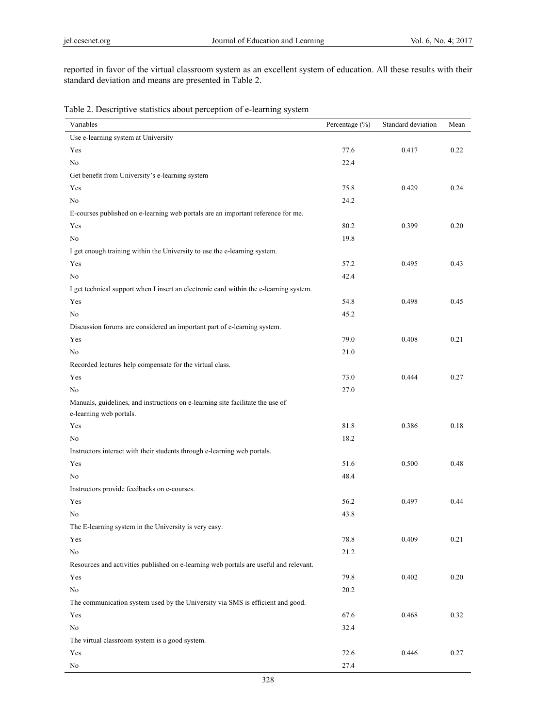reported in favor of the virtual classroom system as an excellent system of education. All these results with their standard deviation and means are presented in Table 2.

Table 2. Descriptive statistics about perception of e-learning system

| Variables                                                                                                 | Percentage (%) | Standard deviation | Mean |
|-----------------------------------------------------------------------------------------------------------|----------------|--------------------|------|
| Use e-learning system at University                                                                       |                |                    |      |
| Yes                                                                                                       | 77.6           | 0.417              | 0.22 |
| $\rm No$                                                                                                  | 22.4           |                    |      |
| Get benefit from University's e-learning system                                                           |                |                    |      |
| Yes                                                                                                       | 75.8           | 0.429              | 0.24 |
| $\rm No$                                                                                                  | 24.2           |                    |      |
| E-courses published on e-learning web portals are an important reference for me.                          |                |                    |      |
| Yes                                                                                                       | 80.2           | 0.399              | 0.20 |
| No                                                                                                        | 19.8           |                    |      |
| I get enough training within the University to use the e-learning system.                                 |                |                    |      |
| Yes                                                                                                       | 57.2           | 0.495              | 0.43 |
| $\rm No$                                                                                                  | 42.4           |                    |      |
| I get technical support when I insert an electronic card within the e-learning system.                    |                |                    |      |
| Yes                                                                                                       | 54.8           | 0.498              | 0.45 |
| No                                                                                                        | 45.2           |                    |      |
| Discussion forums are considered an important part of e-learning system.                                  |                |                    |      |
| Yes                                                                                                       | 79.0           | 0.408              | 0.21 |
| No                                                                                                        | 21.0           |                    |      |
| Recorded lectures help compensate for the virtual class.                                                  |                |                    |      |
| Yes                                                                                                       | 73.0           | 0.444              | 0.27 |
| No                                                                                                        | 27.0           |                    |      |
| Manuals, guidelines, and instructions on e-learning site facilitate the use of<br>e-learning web portals. |                |                    |      |
| Yes                                                                                                       | 81.8           | 0.386              | 0.18 |
| No                                                                                                        | 18.2           |                    |      |
| Instructors interact with their students through e-learning web portals.                                  |                |                    |      |
| Yes                                                                                                       | 51.6           | 0.500              | 0.48 |
| No                                                                                                        | 48.4           |                    |      |
| Instructors provide feedbacks on e-courses.                                                               |                |                    |      |
| Yes                                                                                                       | 56.2           | 0.497              | 0.44 |
| No                                                                                                        | 43.8           |                    |      |
| The E-learning system in the University is very easy.                                                     |                |                    |      |
| Yes                                                                                                       | 78.8           | 0.409              | 0.21 |
| No                                                                                                        | 21.2           |                    |      |
| Resources and activities published on e-learning web portals are useful and relevant.                     |                |                    |      |
| Yes                                                                                                       | 79.8           | 0.402              | 0.20 |
| No                                                                                                        | $20.2\,$       |                    |      |
| The communication system used by the University via SMS is efficient and good.                            |                |                    |      |
| Yes                                                                                                       | 67.6           | 0.468              | 0.32 |
| No                                                                                                        | 32.4           |                    |      |
| The virtual classroom system is a good system.                                                            |                |                    |      |
| Yes                                                                                                       | 72.6           | 0.446              | 0.27 |
| No                                                                                                        | 27.4           |                    |      |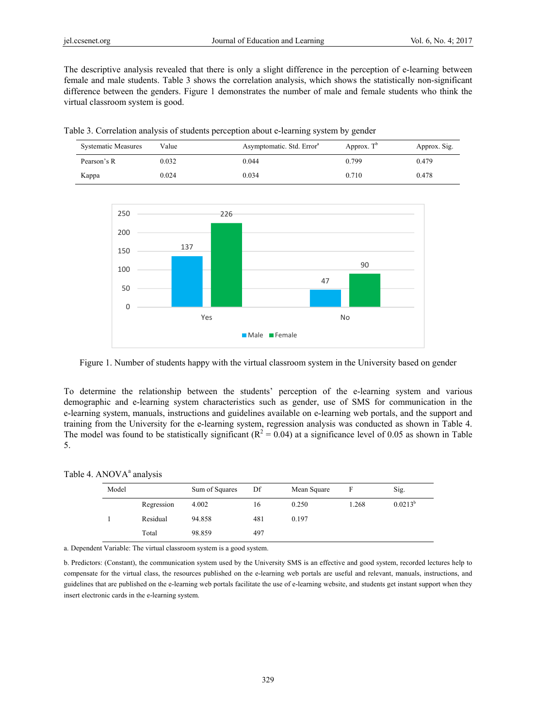The descriptive analysis revealed that there is only a slight difference in the perception of e-learning between female and male students. Table 3 shows the correlation analysis, which shows the statistically non-significant difference between the genders. Figure 1 demonstrates the number of male and female students who think the virtual classroom system is good.

| Table 3. Correlation analysis of students perception about e-learning system by gender |  |  |  |  |
|----------------------------------------------------------------------------------------|--|--|--|--|
|                                                                                        |  |  |  |  |

| <b>Systematic Measures</b> | Value | Asymptomatic. Std. Error <sup>a</sup> | Approx. $T^b$ | Approx. Sig. |
|----------------------------|-------|---------------------------------------|---------------|--------------|
| Pearson's R                | 0.032 | 0.044                                 | 0.799         | 0.479        |
| Kappa                      | 0.024 | 0.034                                 | 0.710         | 0.478        |



Figure 1. Number of students happy with the virtual classroom system in the University based on gender

To determine the relationship between the students' perception of the e-learning system and various demographic and e-learning system characteristics such as gender, use of SMS for communication in the e-learning system, manuals, instructions and guidelines available on e-learning web portals, and the support and training from the University for the e-learning system, regression analysis was conducted as shown in Table 4. The model was found to be statistically significant ( $R^2 = 0.04$ ) at a significance level of 0.05 as shown in Table 5.

#### Table 4. ANOVA<sup>a</sup> analysis

| Model |            | Sum of Squares | Df  | Mean Square |       | Sig.         |
|-------|------------|----------------|-----|-------------|-------|--------------|
|       | Regression | 4.002          | 16  | 0.250       | 1.268 | $0.0213^{b}$ |
|       | Residual   | 94.858         | 481 | 0.197       |       |              |
|       | Total      | 98.859         | 497 |             |       |              |

a. Dependent Variable: The virtual classroom system is a good system.

b. Predictors: (Constant), the communication system used by the University SMS is an effective and good system, recorded lectures help to compensate for the virtual class, the resources published on the e-learning web portals are useful and relevant, manuals, instructions, and guidelines that are published on the e-learning web portals facilitate the use of e-learning website, and students get instant support when they insert electronic cards in the e-learning system.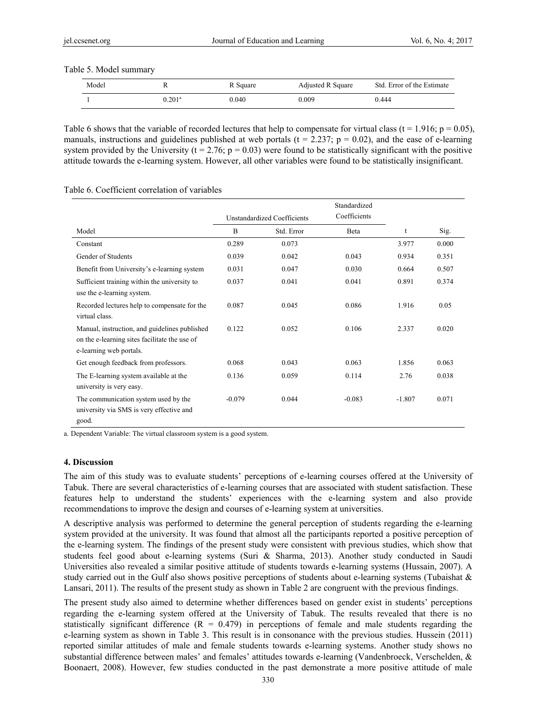Table 5. Model summary

| Model |                 | R Square | Adjusted R Square | Std. Error of the Estimate |
|-------|-----------------|----------|-------------------|----------------------------|
|       | $0.201^{\rm a}$ | 0.040    | 0.009             | 0.444                      |

Table 6 shows that the variable of recorded lectures that help to compensate for virtual class (t = 1.916; p = 0.05), manuals, instructions and guidelines published at web portals ( $t = 2.237$ ;  $p = 0.02$ ), and the ease of e-learning system provided by the University ( $t = 2.76$ ;  $p = 0.03$ ) were found to be statistically significant with the positive attitude towards the e-learning system. However, all other variables were found to be statistically insignificant.

|                                                                                                                           |                | Unstandardized Coefficients | Standardized<br>Coefficients |          |       |
|---------------------------------------------------------------------------------------------------------------------------|----------------|-----------------------------|------------------------------|----------|-------|
| Model                                                                                                                     | $\overline{B}$ | Std. Error                  | Beta                         | t        | Sig.  |
| Constant                                                                                                                  | 0.289          | 0.073                       |                              | 3.977    | 0.000 |
| Gender of Students                                                                                                        | 0.039          | 0.042                       | 0.043                        | 0.934    | 0.351 |
| Benefit from University's e-learning system                                                                               | 0.031          | 0.047                       | 0.030                        | 0.664    | 0.507 |
| Sufficient training within the university to<br>use the e-learning system.                                                | 0.037          | 0.041                       | 0.041                        | 0.891    | 0.374 |
| Recorded lectures help to compensate for the<br>virtual class.                                                            | 0.087          | 0.045                       | 0.086                        | 1.916    | 0.05  |
| Manual, instruction, and guidelines published<br>on the e-learning sites facilitate the use of<br>e-learning web portals. | 0.122          | 0.052                       | 0.106                        | 2.337    | 0.020 |
| Get enough feedback from professors.                                                                                      | 0.068          | 0.043                       | 0.063                        | 1.856    | 0.063 |
| The E-learning system available at the<br>university is very easy.                                                        | 0.136          | 0.059                       | 0.114                        | 2.76     | 0.038 |
| The communication system used by the<br>university via SMS is very effective and<br>good.                                 | $-0.079$       | 0.044                       | $-0.083$                     | $-1.807$ | 0.071 |

Table 6. Coefficient correlation of variables

a. Dependent Variable: The virtual classroom system is a good system.

#### **4. Discussion**

The aim of this study was to evaluate students' perceptions of e-learning courses offered at the University of Tabuk. There are several characteristics of e-learning courses that are associated with student satisfaction. These features help to understand the students' experiences with the e-learning system and also provide recommendations to improve the design and courses of e-learning system at universities.

A descriptive analysis was performed to determine the general perception of students regarding the e-learning system provided at the university. It was found that almost all the participants reported a positive perception of the e-learning system. The findings of the present study were consistent with previous studies, which show that students feel good about e-learning systems (Suri & Sharma, 2013). Another study conducted in Saudi Universities also revealed a similar positive attitude of students towards e-learning systems (Hussain, 2007). A study carried out in the Gulf also shows positive perceptions of students about e-learning systems (Tubaishat  $\&$ Lansari, 2011). The results of the present study as shown in Table 2 are congruent with the previous findings.

The present study also aimed to determine whether differences based on gender exist in students' perceptions regarding the e-learning system offered at the University of Tabuk. The results revealed that there is no statistically significant difference  $(R = 0.479)$  in perceptions of female and male students regarding the e-learning system as shown in Table 3. This result is in consonance with the previous studies. Hussein (2011) reported similar attitudes of male and female students towards e-learning systems. Another study shows no substantial difference between males' and females' attitudes towards e-learning (Vandenbroeck, Verschelden, & Boonaert, 2008). However, few studies conducted in the past demonstrate a more positive attitude of male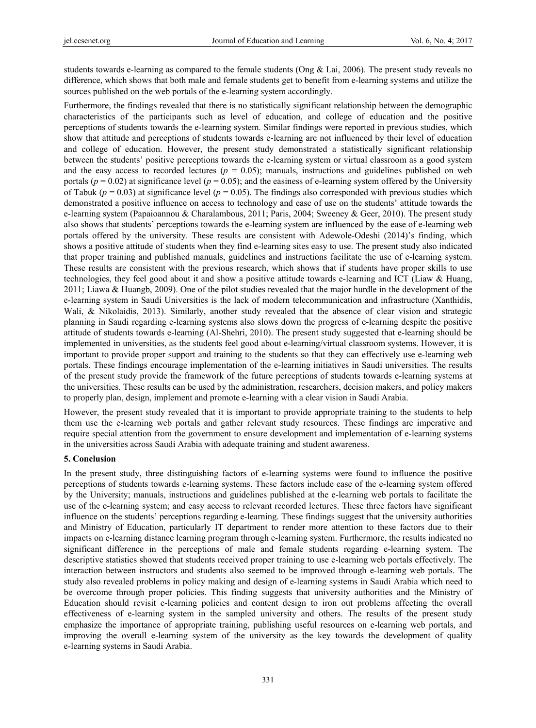students towards e-learning as compared to the female students (Ong & Lai, 2006). The present study reveals no difference, which shows that both male and female students get to benefit from e-learning systems and utilize the sources published on the web portals of the e-learning system accordingly.

Furthermore, the findings revealed that there is no statistically significant relationship between the demographic characteristics of the participants such as level of education, and college of education and the positive perceptions of students towards the e-learning system. Similar findings were reported in previous studies, which show that attitude and perceptions of students towards e-learning are not influenced by their level of education and college of education. However, the present study demonstrated a statistically significant relationship between the students' positive perceptions towards the e-learning system or virtual classroom as a good system and the easy access to recorded lectures ( $p = 0.05$ ); manuals, instructions and guidelines published on web portals ( $p = 0.02$ ) at significance level ( $p = 0.05$ ); and the easiness of e-learning system offered by the University of Tabuk ( $p = 0.03$ ) at significance level ( $p = 0.05$ ). The findings also corresponded with previous studies which demonstrated a positive influence on access to technology and ease of use on the students' attitude towards the e-learning system (Papaioannou & Charalambous, 2011; Paris, 2004; Sweeney & Geer, 2010). The present study also shows that students' perceptions towards the e-learning system are influenced by the ease of e-learning web portals offered by the university. These results are consistent with Adewole-Odeshi (2014)'s finding, which shows a positive attitude of students when they find e-learning sites easy to use. The present study also indicated that proper training and published manuals, guidelines and instructions facilitate the use of e-learning system. These results are consistent with the previous research, which shows that if students have proper skills to use technologies, they feel good about it and show a positive attitude towards e-learning and ICT (Liaw & Huang, 2011; Liawa & Huangb, 2009). One of the pilot studies revealed that the major hurdle in the development of the e-learning system in Saudi Universities is the lack of modern telecommunication and infrastructure (Xanthidis, Wali, & Nikolaidis, 2013). Similarly, another study revealed that the absence of clear vision and strategic planning in Saudi regarding e-learning systems also slows down the progress of e-learning despite the positive attitude of students towards e-learning (Al-Shehri, 2010). The present study suggested that e-learning should be implemented in universities, as the students feel good about e-learning/virtual classroom systems. However, it is important to provide proper support and training to the students so that they can effectively use e-learning web portals. These findings encourage implementation of the e-learning initiatives in Saudi universities. The results of the present study provide the framework of the future perceptions of students towards e-learning systems at the universities. These results can be used by the administration, researchers, decision makers, and policy makers to properly plan, design, implement and promote e-learning with a clear vision in Saudi Arabia.

However, the present study revealed that it is important to provide appropriate training to the students to help them use the e-learning web portals and gather relevant study resources. These findings are imperative and require special attention from the government to ensure development and implementation of e-learning systems in the universities across Saudi Arabia with adequate training and student awareness.

#### **5. Conclusion**

In the present study, three distinguishing factors of e-learning systems were found to influence the positive perceptions of students towards e-learning systems. These factors include ease of the e-learning system offered by the University; manuals, instructions and guidelines published at the e-learning web portals to facilitate the use of the e-learning system; and easy access to relevant recorded lectures. These three factors have significant influence on the students' perceptions regarding e-learning. These findings suggest that the university authorities and Ministry of Education, particularly IT department to render more attention to these factors due to their impacts on e-learning distance learning program through e-learning system. Furthermore, the results indicated no significant difference in the perceptions of male and female students regarding e-learning system. The descriptive statistics showed that students received proper training to use e-learning web portals effectively. The interaction between instructors and students also seemed to be improved through e-learning web portals. The study also revealed problems in policy making and design of e-learning systems in Saudi Arabia which need to be overcome through proper policies. This finding suggests that university authorities and the Ministry of Education should revisit e-learning policies and content design to iron out problems affecting the overall effectiveness of e-learning system in the sampled university and others. The results of the present study emphasize the importance of appropriate training, publishing useful resources on e-learning web portals, and improving the overall e-learning system of the university as the key towards the development of quality e-learning systems in Saudi Arabia.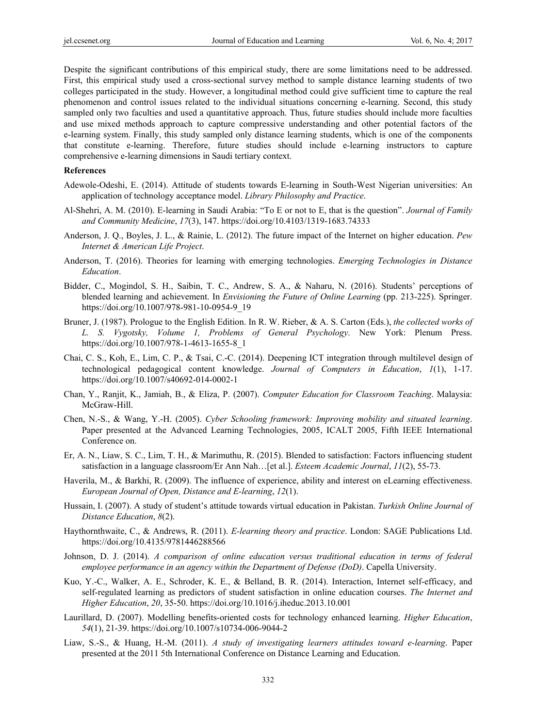Despite the significant contributions of this empirical study, there are some limitations need to be addressed. First, this empirical study used a cross-sectional survey method to sample distance learning students of two colleges participated in the study. However, a longitudinal method could give sufficient time to capture the real phenomenon and control issues related to the individual situations concerning e-learning. Second, this study sampled only two faculties and used a quantitative approach. Thus, future studies should include more faculties and use mixed methods approach to capture compressive understanding and other potential factors of the e-learning system. Finally, this study sampled only distance learning students, which is one of the components that constitute e-learning. Therefore, future studies should include e-learning instructors to capture comprehensive e-learning dimensions in Saudi tertiary context.

#### **References**

- Adewole-Odeshi, E. (2014). Attitude of students towards E-learning in South-West Nigerian universities: An application of technology acceptance model. *Library Philosophy and Practice*.
- Al-Shehri, A. M. (2010). E-learning in Saudi Arabia: "To E or not to E, that is the question". *Journal of Family and Community Medicine*, *17*(3), 147. https://doi.org/10.4103/1319-1683.74333
- Anderson, J. Q., Boyles, J. L., & Rainie, L. (2012). The future impact of the Internet on higher education. *Pew Internet & American Life Project*.
- Anderson, T. (2016). Theories for learning with emerging technologies. *Emerging Technologies in Distance Education*.
- Bidder, C., Mogindol, S. H., Saibin, T. C., Andrew, S. A., & Naharu, N. (2016). Students' perceptions of blended learning and achievement. In *Envisioning the Future of Online Learning* (pp. 213-225). Springer. https://doi.org/10.1007/978-981-10-0954-9\_19
- Bruner, J. (1987). Prologue to the English Edition. In R. W. Rieber, & A. S. Carton (Eds.), *the collected works of L. S. Vygotsky, Volume 1, Problems of General Psychology*. New York: Plenum Press. https://doi.org/10.1007/978-1-4613-1655-8\_1
- Chai, C. S., Koh, E., Lim, C. P., & Tsai, C.-C. (2014). Deepening ICT integration through multilevel design of technological pedagogical content knowledge. *Journal of Computers in Education*, *1*(1), 1-17. https://doi.org/10.1007/s40692-014-0002-1
- Chan, Y., Ranjit, K., Jamiah, B., & Eliza, P. (2007). *Computer Education for Classroom Teaching*. Malaysia: McGraw-Hill.
- Chen, N.-S., & Wang, Y.-H. (2005). *Cyber Schooling framework: Improving mobility and situated learning*. Paper presented at the Advanced Learning Technologies, 2005, ICALT 2005, Fifth IEEE International Conference on.
- Er, A. N., Liaw, S. C., Lim, T. H., & Marimuthu, R. (2015). Blended to satisfaction: Factors influencing student satisfaction in a language classroom/Er Ann Nah…[et al.]. *Esteem Academic Journal*, *11*(2), 55-73.
- Haverila, M., & Barkhi, R. (2009). The influence of experience, ability and interest on eLearning effectiveness. *European Journal of Open, Distance and E-learning*, *12*(1).
- Hussain, I. (2007). A study of student's attitude towards virtual education in Pakistan. *Turkish Online Journal of Distance Education*, *8*(2).
- Haythornthwaite, C., & Andrews, R. (2011). *E-learning theory and practice*. London: SAGE Publications Ltd. https://doi.org/10.4135/9781446288566
- Johnson, D. J. (2014). *A comparison of online education versus traditional education in terms of federal employee performance in an agency within the Department of Defense (DoD)*. Capella University.
- Kuo, Y.-C., Walker, A. E., Schroder, K. E., & Belland, B. R. (2014). Interaction, Internet self-efficacy, and self-regulated learning as predictors of student satisfaction in online education courses. *The Internet and Higher Education*, *20*, 35-50. https://doi.org/10.1016/j.iheduc.2013.10.001
- Laurillard, D. (2007). Modelling benefits-oriented costs for technology enhanced learning. *Higher Education*, *54*(1), 21-39. https://doi.org/10.1007/s10734-006-9044-2
- Liaw, S.-S., & Huang, H.-M. (2011). *A study of investigating learners attitudes toward e-learning*. Paper presented at the 2011 5th International Conference on Distance Learning and Education.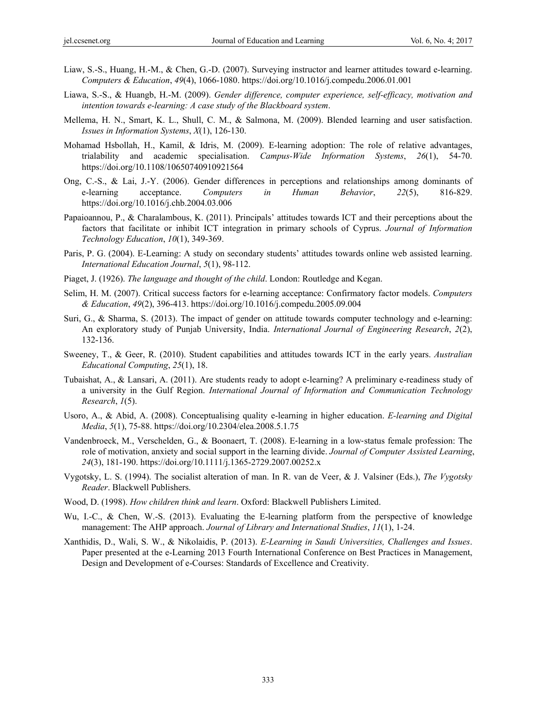- Liaw, S.-S., Huang, H.-M., & Chen, G.-D. (2007). Surveying instructor and learner attitudes toward e-learning. *Computers & Education*, *49*(4), 1066-1080. https://doi.org/10.1016/j.compedu.2006.01.001
- Liawa, S.-S., & Huangb, H.-M. (2009). *Gender difference, computer experience, self-efficacy, motivation and intention towards e-learning: A case study of the Blackboard system*.
- Mellema, H. N., Smart, K. L., Shull, C. M., & Salmona, M. (2009). Blended learning and user satisfaction. *Issues in Information Systems*, *X*(1), 126-130.
- Mohamad Hsbollah, H., Kamil, & Idris, M. (2009). E-learning adoption: The role of relative advantages, trialability and academic specialisation. *Campus-Wide Information Systems*, *26*(1), 54-70. https://doi.org/10.1108/10650740910921564
- Ong, C.-S., & Lai, J.-Y. (2006). Gender differences in perceptions and relationships among dominants of e-learning acceptance. *Computers in Human Behavior*, *22*(5), 816-829. https://doi.org/10.1016/j.chb.2004.03.006
- Papaioannou, P., & Charalambous, K. (2011). Principals' attitudes towards ICT and their perceptions about the factors that facilitate or inhibit ICT integration in primary schools of Cyprus. *Journal of Information Technology Education*, *10*(1), 349-369.
- Paris, P. G. (2004). E-Learning: A study on secondary students' attitudes towards online web assisted learning. *International Education Journal*, *5*(1), 98-112.
- Piaget, J. (1926). *The language and thought of the child*. London: Routledge and Kegan.
- Selim, H. M. (2007). Critical success factors for e-learning acceptance: Confirmatory factor models. *Computers & Education*, *49*(2), 396-413. https://doi.org/10.1016/j.compedu.2005.09.004
- Suri, G., & Sharma, S. (2013). The impact of gender on attitude towards computer technology and e-learning: An exploratory study of Punjab University, India. *International Journal of Engineering Research*, *2*(2), 132-136.
- Sweeney, T., & Geer, R. (2010). Student capabilities and attitudes towards ICT in the early years. *Australian Educational Computing*, *25*(1), 18.
- Tubaishat, A., & Lansari, A. (2011). Are students ready to adopt e-learning? A preliminary e-readiness study of a university in the Gulf Region. *International Journal of Information and Communication Technology Research*, *1*(5).
- Usoro, A., & Abid, A. (2008). Conceptualising quality e-learning in higher education. *E-learning and Digital Media*, *5*(1), 75-88. https://doi.org/10.2304/elea.2008.5.1.75
- Vandenbroeck, M., Verschelden, G., & Boonaert, T. (2008). E‐learning in a low‐status female profession: The role of motivation, anxiety and social support in the learning divide. *Journal of Computer Assisted Learning*, *24*(3), 181-190. https://doi.org/10.1111/j.1365-2729.2007.00252.x
- Vygotsky, L. S. (1994). The socialist alteration of man. In R. van de Veer, & J. Valsiner (Eds.), *The Vygotsky Reader*. Blackwell Publishers.
- Wood, D. (1998). *How children think and learn*. Oxford: Blackwell Publishers Limited.
- Wu, I.-C., & Chen, W.-S. (2013). Evaluating the E-learning platform from the perspective of knowledge management: The AHP approach. *Journal of Library and International Studies*, *11*(1), 1-24.
- Xanthidis, D., Wali, S. W., & Nikolaidis, P. (2013). *E-Learning in Saudi Universities, Challenges and Issues*. Paper presented at the e-Learning 2013 Fourth International Conference on Best Practices in Management, Design and Development of e-Courses: Standards of Excellence and Creativity.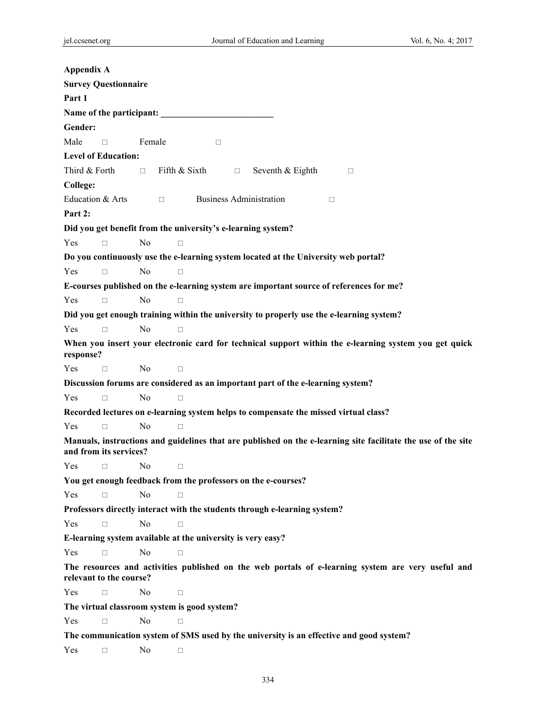| Appendix A    |                             |                |                                                                                          |                                |                  |        |        |                                                                                                               |  |
|---------------|-----------------------------|----------------|------------------------------------------------------------------------------------------|--------------------------------|------------------|--------|--------|---------------------------------------------------------------------------------------------------------------|--|
|               | <b>Survey Questionnaire</b> |                |                                                                                          |                                |                  |        |        |                                                                                                               |  |
| Part 1        |                             |                |                                                                                          |                                |                  |        |        |                                                                                                               |  |
|               |                             |                | Name of the participant:                                                                 |                                |                  |        |        |                                                                                                               |  |
| Gender:       |                             |                |                                                                                          |                                |                  |        |        |                                                                                                               |  |
| Male          | $\Box$                      | Female         |                                                                                          | $\Box$                         |                  |        |        |                                                                                                               |  |
|               | <b>Level of Education:</b>  |                |                                                                                          |                                |                  |        |        |                                                                                                               |  |
| Third & Forth |                             | $\Box$ .       | Fifth & Sixth                                                                            | $\Box$                         | Seventh & Eighth |        | $\Box$ |                                                                                                               |  |
| College:      |                             |                |                                                                                          |                                |                  |        |        |                                                                                                               |  |
|               | Education & Arts            |                | $\Box$                                                                                   | <b>Business Administration</b> |                  | $\Box$ |        |                                                                                                               |  |
| Part 2:       |                             |                |                                                                                          |                                |                  |        |        |                                                                                                               |  |
|               |                             |                | Did you get benefit from the university's e-learning system?                             |                                |                  |        |        |                                                                                                               |  |
| Yes           | $\Box$                      | N <sub>0</sub> | $\Box$                                                                                   |                                |                  |        |        |                                                                                                               |  |
|               |                             |                | Do you continuously use the e-learning system located at the University web portal?      |                                |                  |        |        |                                                                                                               |  |
| Yes           | $\Box$                      | $\rm No$       | П                                                                                        |                                |                  |        |        |                                                                                                               |  |
|               |                             |                | E-courses published on the e-learning system are important source of references for me?  |                                |                  |        |        |                                                                                                               |  |
| Yes           | $\Box$                      | N <sub>0</sub> | $\Box$                                                                                   |                                |                  |        |        |                                                                                                               |  |
|               |                             |                | Did you get enough training within the university to properly use the e-learning system? |                                |                  |        |        |                                                                                                               |  |
| Yes           | $\Box$                      | N <sub>0</sub> | $\Box$                                                                                   |                                |                  |        |        |                                                                                                               |  |
| response?     |                             |                |                                                                                          |                                |                  |        |        | When you insert your electronic card for technical support within the e-learning system you get quick         |  |
| Yes           | $\Box$                      | N <sub>0</sub> | $\Box$                                                                                   |                                |                  |        |        |                                                                                                               |  |
|               |                             |                | Discussion forums are considered as an important part of the e-learning system?          |                                |                  |        |        |                                                                                                               |  |
| Yes           | $\Box$                      | N <sub>0</sub> | $\Box$                                                                                   |                                |                  |        |        |                                                                                                               |  |
|               |                             |                | Recorded lectures on e-learning system helps to compensate the missed virtual class?     |                                |                  |        |        |                                                                                                               |  |
| Yes           | $\Box$                      | N <sub>0</sub> | $\Box$                                                                                   |                                |                  |        |        |                                                                                                               |  |
|               | and from its services?      |                |                                                                                          |                                |                  |        |        | Manuals, instructions and guidelines that are published on the e-learning site facilitate the use of the site |  |
| Yes           | $\Box$                      | No.            | $\Box$                                                                                   |                                |                  |        |        |                                                                                                               |  |
|               |                             |                | You get enough feedback from the professors on the e-courses?                            |                                |                  |        |        |                                                                                                               |  |
| Yes           | $\Box$                      | N <sub>0</sub> | $\Box$                                                                                   |                                |                  |        |        |                                                                                                               |  |
|               |                             |                | Professors directly interact with the students through e-learning system?                |                                |                  |        |        |                                                                                                               |  |
| Yes           | П                           | N <sub>0</sub> |                                                                                          |                                |                  |        |        |                                                                                                               |  |
|               |                             |                | E-learning system available at the university is very easy?                              |                                |                  |        |        |                                                                                                               |  |
| Yes           | П                           | No             | П                                                                                        |                                |                  |        |        |                                                                                                               |  |
|               | relevant to the course?     |                |                                                                                          |                                |                  |        |        | The resources and activities published on the web portals of e-learning system are very useful and            |  |
| Yes           | $\Box$                      | No             | □                                                                                        |                                |                  |        |        |                                                                                                               |  |
|               |                             |                | The virtual classroom system is good system?                                             |                                |                  |        |        |                                                                                                               |  |
| Yes           | П                           | No             | П                                                                                        |                                |                  |        |        |                                                                                                               |  |
|               |                             |                | The communication system of SMS used by the university is an effective and good system?  |                                |                  |        |        |                                                                                                               |  |
| Yes           | $\Box$                      | N <sub>0</sub> | $\Box$                                                                                   |                                |                  |        |        |                                                                                                               |  |
|               |                             |                |                                                                                          |                                |                  |        |        |                                                                                                               |  |